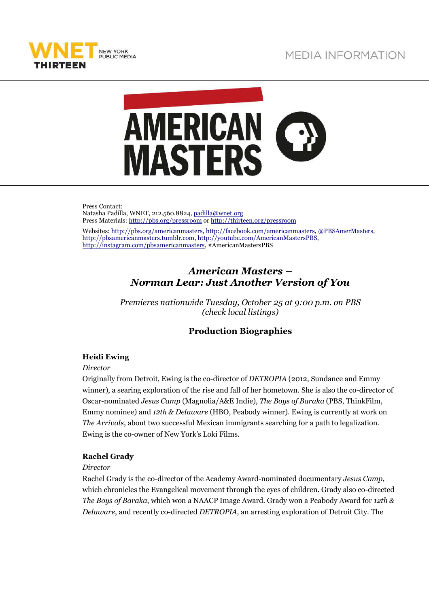



Press Contact: Natasha Padilla, WNET, 212.560.8824, padilla@wnet.org Press Materials: http://pbs.org/pressroom or http://thirteen.org/pressroom Websites: http://pbs.org/americanmasters, http://facebook.com/americanmasters, @PBSAmerMasters, http://pbsamericanmasters.tumblr.com, http://youtube.com/AmericanMastersPBS, http://instagram.com/pbsamericanmasters, #AmericanMastersPBS

# *American Masters – Norman Lear: Just Another Version of You*

*Premieres nationwide Tuesday, October 25 at 9:00 p.m. on PBS (check local listings)* 

# **Production Biographies**

# **Heidi Ewing**

*Director* 

Originally from Detroit, Ewing is the co-director of *DETROPIA* (2012, Sundance and Emmy winner), a searing exploration of the rise and fall of her hometown. She is also the co-director of Oscar-nominated *Jesus Camp* (Magnolia/A&E Indie), *The Boys of Baraka* (PBS, ThinkFilm, Emmy nominee) and *12th & Delaware* (HBO, Peabody winner). Ewing is currently at work on *The Arrivals*, about two successful Mexican immigrants searching for a path to legalization. Ewing is the co-owner of New York's Loki Films.

# **Rachel Grady**

*Director* 

Rachel Grady is the co-director of the Academy Award-nominated documentary *Jesus Camp,* which chronicles the Evangelical movement through the eyes of children. Grady also co-directed *The Boys of Baraka*, which won a NAACP Image Award. Grady won a Peabody Award for *12th & Delaware*, and recently co-directed *DETROPIA*, an arresting exploration of Detroit City. The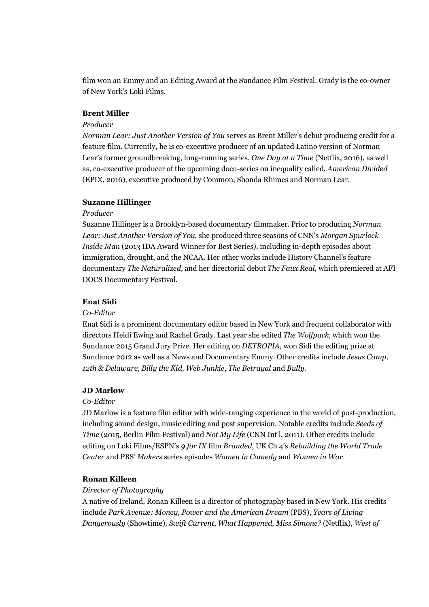film won an Emmy and an Editing Award at the Sundance Film Festival. Grady is the co-owner of New York's Loki Films.

## **Brent Miller**

## *Producer*

*Norman Lear: Just Another Version of You* serves as Brent Miller's debut producing credit for a feature film. Currently, he is co-executive producer of an updated Latino version of Norman Lear's former groundbreaking, long-running series, *One Day at a Time* (Netflix, 2016), as well as, co-executive producer of the upcoming docu-series on inequality called, *American Divided*  (EPIX, 2016), executive produced by Common, Shonda Rhimes and Norman Lear.

## **Suzanne Hillinger**

## *Producer*

Suzanne Hillinger is a Brooklyn-based documentary filmmaker. Prior to producing *Norman Lear: Just Another Version of You*, she produced three seasons of CNN's *Morgan Spurlock Inside Man* (2013 IDA Award Winner for Best Series), including in-depth episodes about immigration, drought, and the NCAA. Her other works include History Channel's feature documentary *The Naturalized*, and her directorial debut *The Faux Real*, which premiered at AFI DOCS Documentary Festival.

## **Enat Sidi**

# *Co-Editor*

Enat Sidi is a prominent documentary editor based in New York and frequent collaborator with directors Heidi Ewing and Rachel Grady. Last year she edited *The Wolfpack*, which won the Sundance 2015 Grand Jury Prize. Her editing on *DETROPIA*, won Sidi the editing prize at Sundance 2012 as well as a News and Documentary Emmy. Other credits include *Jesus Camp*, *12th & Delaware*, *Billy the Kid*, *Web Junkie*, *The Betrayal* and *Bully*.

## **JD Marlow**

## *Co-Editor*

JD Marlow is a feature film editor with wide-ranging experience in the world of post-production, including sound design, music editing and post supervision. Notable credits include *Seeds of Time* (2015, Berlin Film Festival) and *Not My Life* (CNN Int'l, 2011). Other credits include editing on Loki Films/ESPN's *9 for IX* film *Branded*, UK Ch 4's *Rebuilding the World Trade Center* and PBS' *Makers* series episodes *Women in Comedy* and *Women in War*.

# **Ronan Killeen**

## *Director of Photography*

A native of Ireland, Ronan Killeen is a director of photography based in New York. His credits include *Park Avenue: Money, Power and the American Dream* (PBS), *Years of Living Dangerously* (Showtime), *Swift Current*, *What Happened, Miss Simone?* (Netflix), *West of*